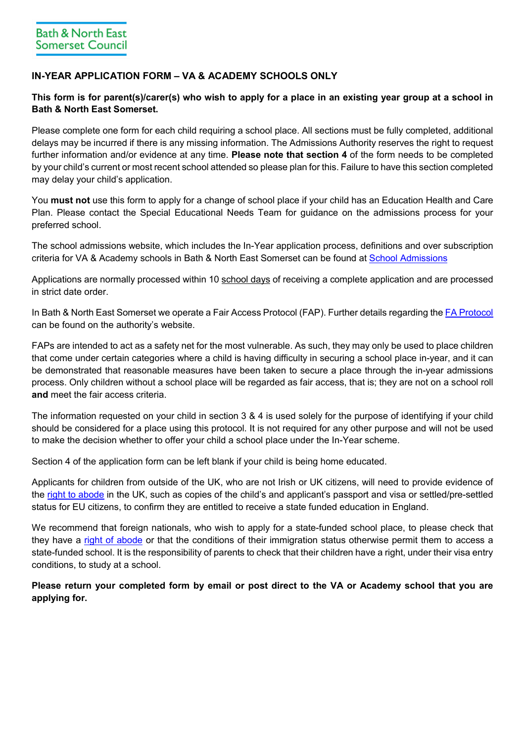# **IN-YEAR APPLICATION FORM – VA & ACADEMY SCHOOLS ONLY**

## **This form is for parent(s)/carer(s) who wish to apply for a place in an existing year group at a school in Bath & North East Somerset.**

Please complete one form for each child requiring a school place. All sections must be fully completed, additional delays may be incurred if there is any missing information. The Admissions Authority reserves the right to request further information and/or evidence at any time. **Please note that section 4** of the form needs to be completed by your child's current or most recent school attended so please plan for this. Failure to have this section completed may delay your child's application.

You **must not** use this form to apply for a change of school place if your child has an Education Health and Care Plan. Please contact the Special Educational Needs Team for guidance on the admissions process for your preferred school.

The school admissions website, which includes the In-Year application process, definitions and over subscription criteria for VA & Academy schools in Bath & North East Somerset can be found at [School Admissions](https://beta.bathnes.gov.uk/school-admissions)

Applications are normally processed within 10 school days of receiving a complete application and are processed in strict date order.

In Bath & North East Somerset we operate a Fair Access Protocol (FAP). Further details regarding the [FA Protocol](https://beta.bathnes.gov.uk/fair-access-education-protocol) can be found on the authority's website.

FAPs are intended to act as a safety net for the most vulnerable. As such, they may only be used to place children that come under certain categories where a child is having difficulty in securing a school place in-year, and it can be demonstrated that reasonable measures have been taken to secure a place through the in-year admissions process. Only children without a school place will be regarded as fair access, that is; they are not on a school roll **and** meet the fair access criteria.

The information requested on your child in section 3 & 4 is used solely for the purpose of identifying if your child should be considered for a place using this protocol. It is not required for any other purpose and will not be used to make the decision whether to offer your child a school place under the In-Year scheme.

Section 4 of the application form can be left blank if your child is being home educated.

Applicants for children from outside of the UK, who are not Irish or UK citizens, will need to provide evidence of the [right to abode](https://www.gov.uk/right-of-abode) in the UK, such as copies of the child's and applicant's passport and visa or settled/pre-settled status for EU citizens, to confirm they are entitled to receive a state funded education in England.

We recommend that foreign nationals, who wish to apply for a state-funded school place, to please check that they have a [right of abode](https://www.gov.uk/right-of-abode) or that the conditions of their immigration status otherwise permit them to access a state-funded school. It is the responsibility of parents to check that their children have a right, under their visa entry conditions, to study at a school.

**Please return your completed form by email or post direct to the VA or Academy school that you are applying for.**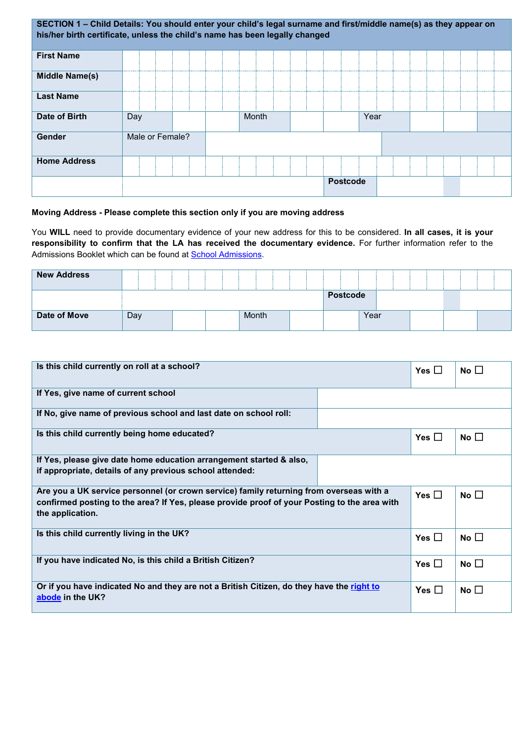| SECTION 1 - Child Details: You should enter your child's legal surname and first/middle name(s) as they appear on<br>his/her birth certificate, unless the child's name has been legally changed |                 |       |                 |      |  |
|--------------------------------------------------------------------------------------------------------------------------------------------------------------------------------------------------|-----------------|-------|-----------------|------|--|
| <b>First Name</b>                                                                                                                                                                                |                 |       |                 |      |  |
| <b>Middle Name(s)</b>                                                                                                                                                                            |                 |       |                 |      |  |
| <b>Last Name</b>                                                                                                                                                                                 |                 |       |                 |      |  |
| Date of Birth                                                                                                                                                                                    | Day             | Month |                 | Year |  |
| Gender                                                                                                                                                                                           | Male or Female? |       |                 |      |  |
| <b>Home Address</b>                                                                                                                                                                              |                 |       |                 |      |  |
|                                                                                                                                                                                                  |                 |       | <b>Postcode</b> |      |  |

### **Moving Address - Please complete this section only if you are moving address**

You **WILL** need to provide documentary evidence of your new address for this to be considered. **In all cases, it is your responsibility to confirm that the LA has received the documentary evidence.** For further information refer to the Admissions Booklet which can be found at **School Admissions**.

| <b>New Address</b> |     |  |       |                 |      |  |  |
|--------------------|-----|--|-------|-----------------|------|--|--|
|                    |     |  |       | <b>Postcode</b> |      |  |  |
| Date of Move       | Day |  | Month |                 | Year |  |  |

| Is this child currently on roll at a school?                                                                                                                                                                |            | Yes $\square$ | No $\square$ |
|-------------------------------------------------------------------------------------------------------------------------------------------------------------------------------------------------------------|------------|---------------|--------------|
| If Yes, give name of current school                                                                                                                                                                         |            |               |              |
| If No, give name of previous school and last date on school roll:                                                                                                                                           |            |               |              |
| Is this child currently being home educated?                                                                                                                                                                |            | Yes $\Box$    | No $\square$ |
| If Yes, please give date home education arrangement started & also,<br>if appropriate, details of any previous school attended:                                                                             |            |               |              |
| Are you a UK service personnel (or crown service) family returning from overseas with a<br>confirmed posting to the area? If Yes, please provide proof of your Posting to the area with<br>the application. | Yes $\Box$ | No $\Box$     |              |
| Is this child currently living in the UK?                                                                                                                                                                   |            | Yes $\square$ | No $\square$ |
| If you have indicated No, is this child a British Citizen?                                                                                                                                                  |            | Yes $\Box$    | No $\square$ |
| Or if you have indicated No and they are not a British Citizen, do they have the right to<br>abode in the UK?                                                                                               |            | Yes $\Box$    | No $\square$ |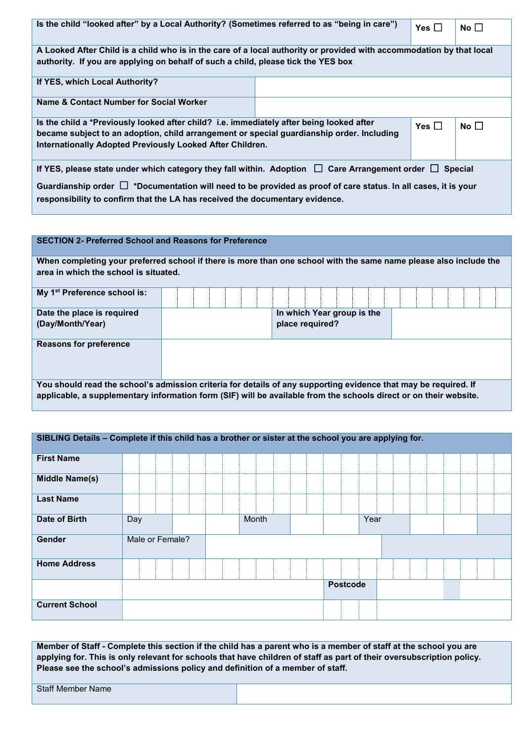| Is the child "looked after" by a Local Authority? (Sometimes referred to as "being in care")                                                           | Yes $\Box$ | No $\square$ |           |  |  |  |  |  |
|--------------------------------------------------------------------------------------------------------------------------------------------------------|------------|--------------|-----------|--|--|--|--|--|
| A Looked After Child is a child who is in the care of a local authority or provided with accommodation by that local                                   |            |              |           |  |  |  |  |  |
| authority. If you are applying on behalf of such a child, please tick the YES box                                                                      |            |              |           |  |  |  |  |  |
| If YES, which Local Authority?                                                                                                                         |            |              |           |  |  |  |  |  |
| Name & Contact Number for Social Worker                                                                                                                |            |              |           |  |  |  |  |  |
| Is the child a *Previously looked after child? i.e. immediately after being looked after                                                               |            | Yes $\Box$   | No $\Box$ |  |  |  |  |  |
| became subject to an adoption, child arrangement or special guardianship order. Including<br>Internationally Adopted Previously Looked After Children. |            |              |           |  |  |  |  |  |
|                                                                                                                                                        |            |              |           |  |  |  |  |  |
| If YES, please state under which category they fall within. Adoption $\Box$ Care Arrangement order $\Box$ Special                                      |            |              |           |  |  |  |  |  |
| Guardianship order $\Box$ *Documentation will need to be provided as proof of care status. In all cases, it is your                                    |            |              |           |  |  |  |  |  |
| responsibility to confirm that the LA has received the documentary evidence.                                                                           |            |              |           |  |  |  |  |  |

| <b>SECTION 2- Preferred School and Reasons for Preference</b>                                                                                                                                                                        |  |                            |  |  |  |  |  |  |  |
|--------------------------------------------------------------------------------------------------------------------------------------------------------------------------------------------------------------------------------------|--|----------------------------|--|--|--|--|--|--|--|
| When completing your preferred school if there is more than one school with the same name please also include the                                                                                                                    |  |                            |  |  |  |  |  |  |  |
| area in which the school is situated.                                                                                                                                                                                                |  |                            |  |  |  |  |  |  |  |
| My 1 <sup>st</sup> Preference school is:                                                                                                                                                                                             |  |                            |  |  |  |  |  |  |  |
| Date the place is required                                                                                                                                                                                                           |  | In which Year group is the |  |  |  |  |  |  |  |
| (Day/Month/Year)                                                                                                                                                                                                                     |  | place required?            |  |  |  |  |  |  |  |
| <b>Reasons for preference</b>                                                                                                                                                                                                        |  |                            |  |  |  |  |  |  |  |
| You should read the school's admission criteria for details of any supporting evidence that may be required. If<br>applicable, a supplementary information form (SIF) will be available from the schools direct or on their website. |  |                            |  |  |  |  |  |  |  |

| SIBLING Details - Complete if this child has a brother or sister at the school you are applying for. |     |                 |  |  |       |  |  |                 |      |  |  |  |  |
|------------------------------------------------------------------------------------------------------|-----|-----------------|--|--|-------|--|--|-----------------|------|--|--|--|--|
| <b>First Name</b>                                                                                    |     |                 |  |  |       |  |  |                 |      |  |  |  |  |
| <b>Middle Name(s)</b>                                                                                |     |                 |  |  |       |  |  |                 |      |  |  |  |  |
| <b>Last Name</b>                                                                                     |     |                 |  |  |       |  |  |                 |      |  |  |  |  |
| Date of Birth                                                                                        | Day |                 |  |  | Month |  |  |                 | Year |  |  |  |  |
| Gender                                                                                               |     | Male or Female? |  |  |       |  |  |                 |      |  |  |  |  |
| <b>Home Address</b>                                                                                  |     |                 |  |  |       |  |  |                 |      |  |  |  |  |
|                                                                                                      |     |                 |  |  |       |  |  | <b>Postcode</b> |      |  |  |  |  |
| <b>Current School</b>                                                                                |     |                 |  |  |       |  |  |                 |      |  |  |  |  |

**Member of Staff - Complete this section if the child has a parent who is a member of staff at the school you are applying for. This is only relevant for schools that have children of staff as part of their oversubscription policy. Please see the school's admissions policy and definition of a member of staff.**

Staff Member Name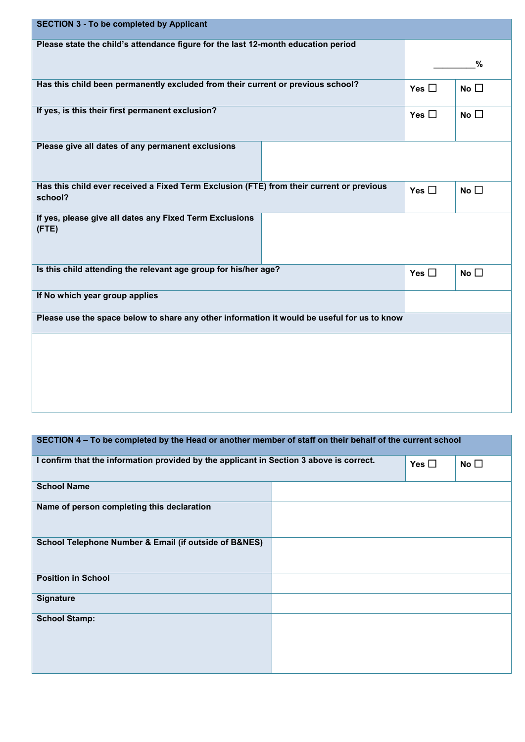| <b>SECTION 3 - To be completed by Applicant</b>                                                     |               |              |  |
|-----------------------------------------------------------------------------------------------------|---------------|--------------|--|
| Please state the child's attendance figure for the last 12-month education period                   |               |              |  |
|                                                                                                     | %             |              |  |
| Has this child been permanently excluded from their current or previous school?                     | Yes $\Box$    | No $\square$ |  |
| If yes, is this their first permanent exclusion?                                                    | Yes $\square$ | No $\square$ |  |
| Please give all dates of any permanent exclusions                                                   |               |              |  |
| Has this child ever received a Fixed Term Exclusion (FTE) from their current or previous<br>school? | Yes $\square$ | No $\square$ |  |
| If yes, please give all dates any Fixed Term Exclusions<br>$($ FTE $)$                              |               |              |  |
| Is this child attending the relevant age group for his/her age?                                     | Yes $\square$ | No $\square$ |  |
| If No which year group applies                                                                      |               |              |  |
| Please use the space below to share any other information it would be useful for us to know         |               |              |  |
|                                                                                                     |               |              |  |

| SECTION 4 – To be completed by the Head or another member of staff on their behalf of the current school |            |              |  |  |  |  |  |
|----------------------------------------------------------------------------------------------------------|------------|--------------|--|--|--|--|--|
| I confirm that the information provided by the applicant in Section 3 above is correct.                  | Yes $\Box$ | No $\square$ |  |  |  |  |  |
| <b>School Name</b>                                                                                       |            |              |  |  |  |  |  |
| Name of person completing this declaration                                                               |            |              |  |  |  |  |  |
| School Telephone Number & Email (if outside of B&NES)                                                    |            |              |  |  |  |  |  |
| <b>Position in School</b>                                                                                |            |              |  |  |  |  |  |
| <b>Signature</b>                                                                                         |            |              |  |  |  |  |  |
| <b>School Stamp:</b>                                                                                     |            |              |  |  |  |  |  |